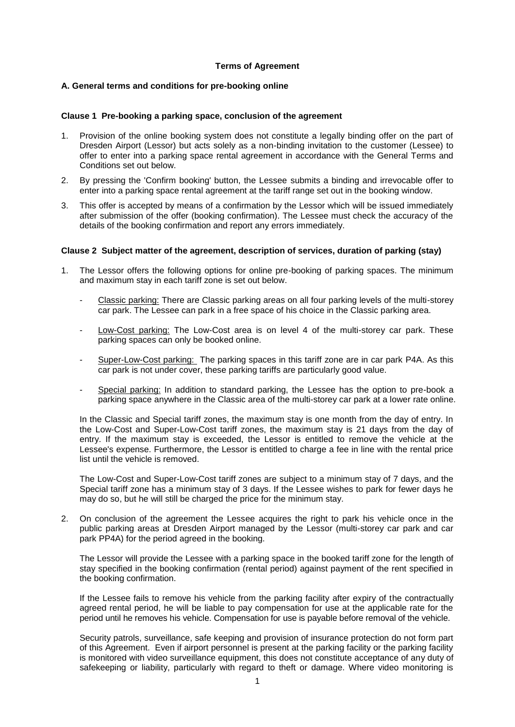## **Terms of Agreement**

## **A. General terms and conditions for pre-booking online**

#### **Clause 1 Pre-booking a parking space, conclusion of the agreement**

- 1. Provision of the online booking system does not constitute a legally binding offer on the part of Dresden Airport (Lessor) but acts solely as a non-binding invitation to the customer (Lessee) to offer to enter into a parking space rental agreement in accordance with the General Terms and Conditions set out below.
- 2. By pressing the 'Confirm booking' button, the Lessee submits a binding and irrevocable offer to enter into a parking space rental agreement at the tariff range set out in the booking window.
- 3. This offer is accepted by means of a confirmation by the Lessor which will be issued immediately after submission of the offer (booking confirmation). The Lessee must check the accuracy of the details of the booking confirmation and report any errors immediately.

#### **Clause 2 Subject matter of the agreement, description of services, duration of parking (stay)**

- 1. The Lessor offers the following options for online pre-booking of parking spaces. The minimum and maximum stay in each tariff zone is set out below.
	- Classic parking: There are Classic parking areas on all four parking levels of the multi-storey car park. The Lessee can park in a free space of his choice in the Classic parking area.
	- Low-Cost parking: The Low-Cost area is on level 4 of the multi-storey car park. These parking spaces can only be booked online.
	- Super-Low-Cost parking: The parking spaces in this tariff zone are in car park P4A. As this car park is not under cover, these parking tariffs are particularly good value.
	- Special parking: In addition to standard parking, the Lessee has the option to pre-book a parking space anywhere in the Classic area of the multi-storey car park at a lower rate online.

In the Classic and Special tariff zones, the maximum stay is one month from the day of entry. In the Low-Cost and Super-Low-Cost tariff zones, the maximum stay is 21 days from the day of entry. If the maximum stay is exceeded, the Lessor is entitled to remove the vehicle at the Lessee's expense. Furthermore, the Lessor is entitled to charge a fee in line with the rental price list until the vehicle is removed.

The Low-Cost and Super-Low-Cost tariff zones are subject to a minimum stay of 7 days, and the Special tariff zone has a minimum stay of 3 days. If the Lessee wishes to park for fewer days he may do so, but he will still be charged the price for the minimum stay.

2. On conclusion of the agreement the Lessee acquires the right to park his vehicle once in the public parking areas at Dresden Airport managed by the Lessor (multi-storey car park and car park PP4A) for the period agreed in the booking.

The Lessor will provide the Lessee with a parking space in the booked tariff zone for the length of stay specified in the booking confirmation (rental period) against payment of the rent specified in the booking confirmation.

If the Lessee fails to remove his vehicle from the parking facility after expiry of the contractually agreed rental period, he will be liable to pay compensation for use at the applicable rate for the period until he removes his vehicle. Compensation for use is payable before removal of the vehicle.

Security patrols, surveillance, safe keeping and provision of insurance protection do not form part of this Agreement. Even if airport personnel is present at the parking facility or the parking facility is monitored with video surveillance equipment, this does not constitute acceptance of any duty of safekeeping or liability, particularly with regard to theft or damage. Where video monitoring is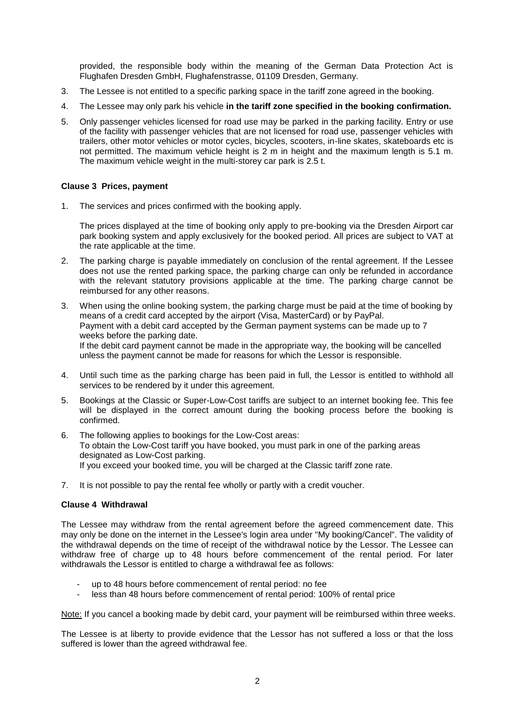provided, the responsible body within the meaning of the German Data Protection Act is Flughafen Dresden GmbH, Flughafenstrasse, 01109 Dresden, Germany.

- 3. The Lessee is not entitled to a specific parking space in the tariff zone agreed in the booking.
- 4. The Lessee may only park his vehicle **in the tariff zone specified in the booking confirmation.**
- 5. Only passenger vehicles licensed for road use may be parked in the parking facility. Entry or use of the facility with passenger vehicles that are not licensed for road use, passenger vehicles with trailers, other motor vehicles or motor cycles, bicycles, scooters, in-line skates, skateboards etc is not permitted. The maximum vehicle height is 2 m in height and the maximum length is 5.1 m. The maximum vehicle weight in the multi-storey car park is 2.5 t.

## **Clause 3 Prices, payment**

1. The services and prices confirmed with the booking apply.

The prices displayed at the time of booking only apply to pre-booking via the Dresden Airport car park booking system and apply exclusively for the booked period. All prices are subject to VAT at the rate applicable at the time.

- 2. The parking charge is payable immediately on conclusion of the rental agreement. If the Lessee does not use the rented parking space, the parking charge can only be refunded in accordance with the relevant statutory provisions applicable at the time. The parking charge cannot be reimbursed for any other reasons.
- 3. When using the online booking system, the parking charge must be paid at the time of booking by means of a credit card accepted by the airport (Visa, MasterCard) or by PayPal. Payment with a debit card accepted by the German payment systems can be made up to 7 weeks before the parking date. If the debit card payment cannot be made in the appropriate way, the booking will be cancelled unless the payment cannot be made for reasons for which the Lessor is responsible.
- 4. Until such time as the parking charge has been paid in full, the Lessor is entitled to withhold all services to be rendered by it under this agreement.
- 5. Bookings at the Classic or Super-Low-Cost tariffs are subject to an internet booking fee. This fee will be displayed in the correct amount during the booking process before the booking is confirmed.
- 6. The following applies to bookings for the Low-Cost areas: To obtain the Low-Cost tariff you have booked, you must park in one of the parking areas designated as Low-Cost parking. If you exceed your booked time, you will be charged at the Classic tariff zone rate.
- 7. It is not possible to pay the rental fee wholly or partly with a credit voucher.

#### **Clause 4 Withdrawal**

The Lessee may withdraw from the rental agreement before the agreed commencement date. This may only be done on the internet in the Lessee's login area under "My booking/Cancel". The validity of the withdrawal depends on the time of receipt of the withdrawal notice by the Lessor. The Lessee can withdraw free of charge up to 48 hours before commencement of the rental period. For later withdrawals the Lessor is entitled to charge a withdrawal fee as follows:

- up to 48 hours before commencement of rental period: no fee
- less than 48 hours before commencement of rental period: 100% of rental price

Note: If you cancel a booking made by debit card, your payment will be reimbursed within three weeks.

The Lessee is at liberty to provide evidence that the Lessor has not suffered a loss or that the loss suffered is lower than the agreed withdrawal fee.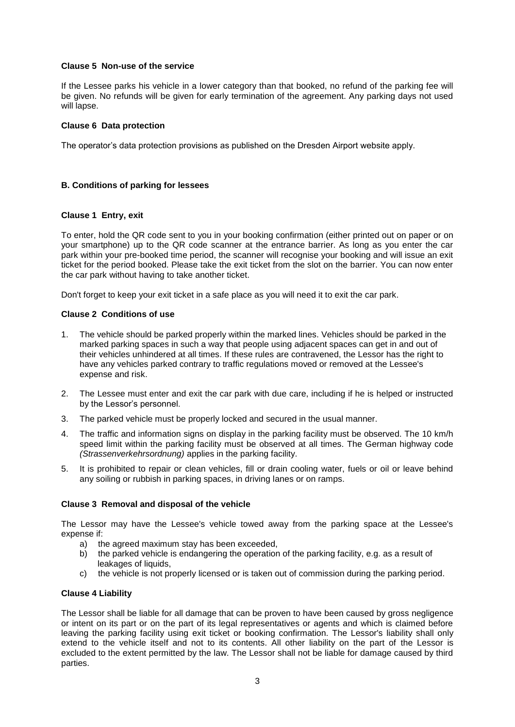## **Clause 5 Non-use of the service**

If the Lessee parks his vehicle in a lower category than that booked, no refund of the parking fee will be given. No refunds will be given for early termination of the agreement. Any parking days not used will lapse.

# **Clause 6 Data protection**

The operator's data protection provisions as published on the Dresden Airport website apply.

# **B. Conditions of parking for lessees**

## **Clause 1 Entry, exit**

To enter, hold the QR code sent to you in your booking confirmation (either printed out on paper or on your smartphone) up to the QR code scanner at the entrance barrier. As long as you enter the car park within your pre-booked time period, the scanner will recognise your booking and will issue an exit ticket for the period booked. Please take the exit ticket from the slot on the barrier. You can now enter the car park without having to take another ticket.

Don't forget to keep your exit ticket in a safe place as you will need it to exit the car park.

#### **Clause 2 Conditions of use**

- 1. The vehicle should be parked properly within the marked lines. Vehicles should be parked in the marked parking spaces in such a way that people using adjacent spaces can get in and out of their vehicles unhindered at all times. If these rules are contravened, the Lessor has the right to have any vehicles parked contrary to traffic regulations moved or removed at the Lessee's expense and risk.
- 2. The Lessee must enter and exit the car park with due care, including if he is helped or instructed by the Lessor's personnel.
- 3. The parked vehicle must be properly locked and secured in the usual manner.
- 4. The traffic and information signs on display in the parking facility must be observed. The 10 km/h speed limit within the parking facility must be observed at all times. The German highway code *(Strassenverkehrsordnung)* applies in the parking facility.
- 5. It is prohibited to repair or clean vehicles, fill or drain cooling water, fuels or oil or leave behind any soiling or rubbish in parking spaces, in driving lanes or on ramps.

#### **Clause 3 Removal and disposal of the vehicle**

The Lessor may have the Lessee's vehicle towed away from the parking space at the Lessee's expense if:

- a) the agreed maximum stay has been exceeded,
- b) the parked vehicle is endangering the operation of the parking facility, e.g. as a result of leakages of liquids,
- c) the vehicle is not properly licensed or is taken out of commission during the parking period.

# **Clause 4 Liability**

The Lessor shall be liable for all damage that can be proven to have been caused by gross negligence or intent on its part or on the part of its legal representatives or agents and which is claimed before leaving the parking facility using exit ticket or booking confirmation. The Lessor's liability shall only extend to the vehicle itself and not to its contents. All other liability on the part of the Lessor is excluded to the extent permitted by the law. The Lessor shall not be liable for damage caused by third parties.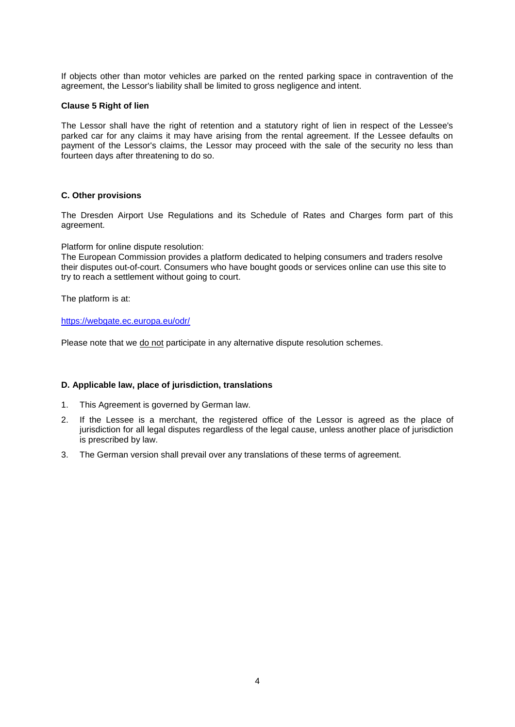If objects other than motor vehicles are parked on the rented parking space in contravention of the agreement, the Lessor's liability shall be limited to gross negligence and intent.

#### **Clause 5 Right of lien**

The Lessor shall have the right of retention and a statutory right of lien in respect of the Lessee's parked car for any claims it may have arising from the rental agreement. If the Lessee defaults on payment of the Lessor's claims, the Lessor may proceed with the sale of the security no less than fourteen days after threatening to do so.

### **C. Other provisions**

The Dresden Airport Use Regulations and its Schedule of Rates and Charges form part of this agreement.

Platform for online dispute resolution:

The European Commission provides a platform dedicated to helping consumers and traders resolve their disputes out-of-court. Consumers who have bought goods or services online can use this site to try to reach a settlement without going to court.

The platform is at:

<https://webgate.ec.europa.eu/odr/>

Please note that we do not participate in any alternative dispute resolution schemes.

#### **D. Applicable law, place of jurisdiction, translations**

- 1. This Agreement is governed by German law.
- 2. If the Lessee is a merchant, the registered office of the Lessor is agreed as the place of jurisdiction for all legal disputes regardless of the legal cause, unless another place of jurisdiction is prescribed by law.
- 3. The German version shall prevail over any translations of these terms of agreement.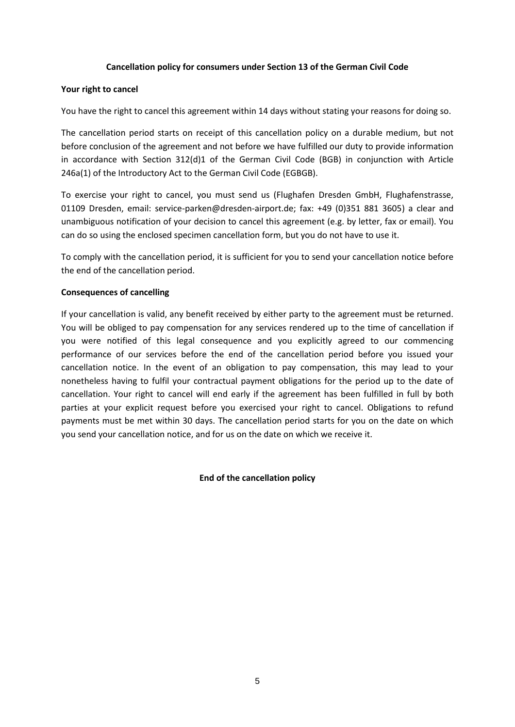# **Cancellation policy for consumers under Section 13 of the German Civil Code**

# **Your right to cancel**

You have the right to cancel this agreement within 14 days without stating your reasons for doing so.

The cancellation period starts on receipt of this cancellation policy on a durable medium, but not before conclusion of the agreement and not before we have fulfilled our duty to provide information in accordance with Section 312(d)1 of the German Civil Code (BGB) in conjunction with Article 246a(1) of the Introductory Act to the German Civil Code (EGBGB).

To exercise your right to cancel, you must send us (Flughafen Dresden GmbH, Flughafenstrasse, 01109 Dresden, email: [service-parken@dresden-airport.de;](mailto:service-parken@dresden-airport.de) fax: +49 (0)351 881 3605) a clear and unambiguous notification of your decision to cancel this agreement (e.g. by letter, fax or email). You can do so using the enclosed specimen cancellation form, but you do not have to use it.

To comply with the cancellation period, it is sufficient for you to send your cancellation notice before the end of the cancellation period.

## **Consequences of cancelling**

If your cancellation is valid, any benefit received by either party to the agreement must be returned. You will be obliged to pay compensation for any services rendered up to the time of cancellation if you were notified of this legal consequence and you explicitly agreed to our commencing performance of our services before the end of the cancellation period before you issued your cancellation notice. In the event of an obligation to pay compensation, this may lead to your nonetheless having to fulfil your contractual payment obligations for the period up to the date of cancellation. Your right to cancel will end early if the agreement has been fulfilled in full by both parties at your explicit request before you exercised your right to cancel. Obligations to refund payments must be met within 30 days. The cancellation period starts for you on the date on which you send your cancellation notice, and for us on the date on which we receive it.

**End of the cancellation policy**